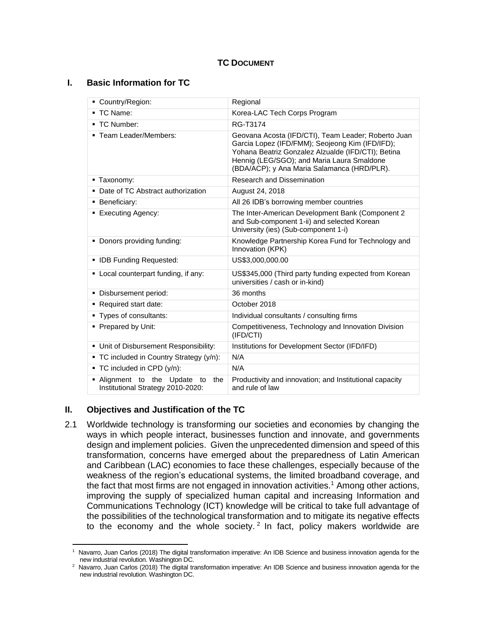#### **TC DOCUMENT**

#### **I. Basic Information for TC**

| Country/Region:                                                           | Regional                                                                                                                                                                                                                                                  |
|---------------------------------------------------------------------------|-----------------------------------------------------------------------------------------------------------------------------------------------------------------------------------------------------------------------------------------------------------|
| TC Name:<br>٠                                                             | Korea-LAC Tech Corps Program                                                                                                                                                                                                                              |
| ■ TC Number:                                                              | RG-T3174                                                                                                                                                                                                                                                  |
| ■ Team Leader/Members:                                                    | Geovana Acosta (IFD/CTI), Team Leader; Roberto Juan<br>Garcia Lopez (IFD/FMM); Seojeong Kim (IFD/IFD);<br>Yohana Beatriz Gonzalez Alzualde (IFD/CTI); Betina<br>Hennig (LEG/SGO); and Maria Laura Smaldone<br>(BDA/ACP); y Ana Maria Salamanca (HRD/PLR). |
| • Taxonomy:                                                               | <b>Research and Dissemination</b>                                                                                                                                                                                                                         |
| Date of TC Abstract authorization                                         | August 24, 2018                                                                                                                                                                                                                                           |
| Beneficiary:<br>٠                                                         | All 26 IDB's borrowing member countries                                                                                                                                                                                                                   |
| <b>Executing Agency:</b>                                                  | The Inter-American Development Bank (Component 2<br>and Sub-component 1-ii) and selected Korean<br>University (ies) (Sub-component 1-i)                                                                                                                   |
| Donors providing funding:<br>п                                            | Knowledge Partnership Korea Fund for Technology and<br>Innovation (KPK)                                                                                                                                                                                   |
| • IDB Funding Requested:                                                  | US\$3,000,000.00                                                                                                                                                                                                                                          |
| • Local counterpart funding, if any:                                      | US\$345,000 (Third party funding expected from Korean<br>universities / cash or in-kind)                                                                                                                                                                  |
| Disbursement period:<br>٠                                                 | 36 months                                                                                                                                                                                                                                                 |
| Required start date:<br>٠                                                 | October 2018                                                                                                                                                                                                                                              |
| Types of consultants:<br>٠                                                | Individual consultants / consulting firms                                                                                                                                                                                                                 |
| Prepared by Unit:<br>٠                                                    | Competitiveness, Technology and Innovation Division<br>(IFD/CTI)                                                                                                                                                                                          |
| Unit of Disbursement Responsibility:<br>٠                                 | Institutions for Development Sector (IFD/IFD)                                                                                                                                                                                                             |
| • TC included in Country Strategy (y/n):                                  | N/A                                                                                                                                                                                                                                                       |
| TC included in CPD (y/n):<br>٠                                            | N/A                                                                                                                                                                                                                                                       |
| Alignment to the<br>Update to<br>the<br>Institutional Strategy 2010-2020: | Productivity and innovation; and Institutional capacity<br>and rule of law                                                                                                                                                                                |

## **II. Objectives and Justification of the TC**

2.1 Worldwide technology is transforming our societies and economies by changing the ways in which people interact, businesses function and innovate, and governments design and implement policies. Given the unprecedented dimension and speed of this transformation, concerns have emerged about the preparedness of Latin American and Caribbean (LAC) economies to face these challenges, especially because of the weakness of the region's educational systems, the limited broadband coverage, and the fact that most firms are not engaged in innovation activities. <sup>1</sup> Among other actions, improving the supply of specialized human capital and increasing Information and Communications Technology (ICT) knowledge will be critical to take full advantage of the possibilities of the technological transformation and to mitigate its negative effects to the economy and the whole society.<sup>2</sup> In fact, policy makers worldwide are

l 1 Navarro, Juan Carlos (2018) The digital transformation imperative: An IDB Science and business innovation agenda for the new industrial revolution. Washington DC.

<sup>&</sup>lt;sup>2</sup> Navarro, Juan Carlos (2018) The digital transformation imperative: An IDB Science and business innovation agenda for the new industrial revolution. Washington DC.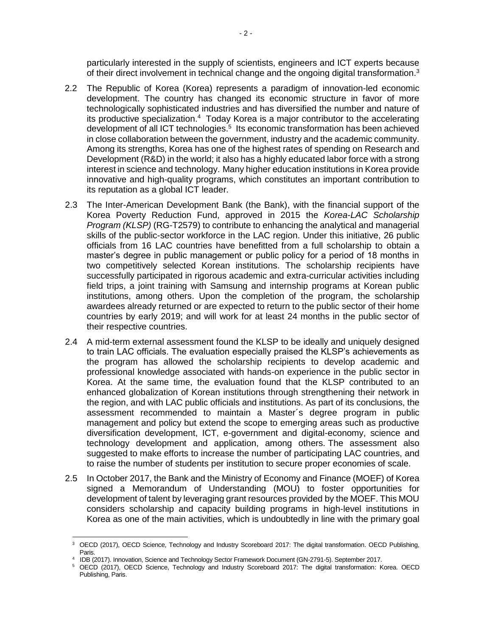particularly interested in the supply of scientists, engineers and ICT experts because of their direct involvement in technical change and the ongoing digital transformation.<sup>3</sup>

- 2.2 The Republic of Korea (Korea) represents a paradigm of innovation-led economic development. The country has changed its economic structure in favor of more technologically sophisticated industries and has diversified the number and nature of its productive specialization.<sup>4</sup> Today Korea is a major contributor to the accelerating development of all ICT technologies. 5 Its economic transformation has been achieved in close collaboration between the government, industry and the academic community. Among its strengths, Korea has one of the highest rates of spending on Research and Development (R&D) in the world; it also has a highly educated labor force with a strong interest in science and technology. Many higher education institutions in Korea provide innovative and high-quality programs, which constitutes an important contribution to its reputation as a global ICT leader.
- 2.3 The Inter-American Development Bank (the Bank), with the financial support of the Korea Poverty Reduction Fund, approved in 2015 the *Korea-LAC Scholarship Program (KLSP)* (RG-T2579) to contribute to enhancing the analytical and managerial skills of the public-sector workforce in the LAC region. Under this initiative, 26 public officials from 16 LAC countries have benefitted from a full scholarship to obtain a master's degree in public management or public policy for a period of 18 months in two competitively selected Korean institutions. The scholarship recipients have successfully participated in rigorous academic and extra-curricular activities including field trips, a joint training with Samsung and internship programs at Korean public institutions, among others. Upon the completion of the program, the scholarship awardees already returned or are expected to return to the public sector of their home countries by early 2019; and will work for at least 24 months in the public sector of their respective countries.
- 2.4 A mid-term external assessment found the KLSP to be ideally and uniquely designed to train LAC officials. The evaluation especially praised the KLSP's achievements as the program has allowed the scholarship recipients to develop academic and professional knowledge associated with hands-on experience in the public sector in Korea. At the same time, the evaluation found that the KLSP contributed to an enhanced globalization of Korean institutions through strengthening their network in the region, and with LAC public officials and institutions. As part of its conclusions, the assessment recommended to maintain a Master´s degree program in public management and policy but extend the scope to emerging areas such as productive diversification development, ICT, e-government and digital-economy, science and technology development and application, among others. The assessment also suggested to make efforts to increase the number of participating LAC countries, and to raise the number of students per institution to secure proper economies of scale.
- 2.5 In October 2017, the Bank and the Ministry of Economy and Finance (MOEF) of Korea signed a Memorandum of Understanding (MOU) to foster opportunities for development of talent by leveraging grant resources provided by the MOEF. This MOU considers scholarship and capacity building programs in high-level institutions in Korea as one of the main activities, which is undoubtedly in line with the primary goal

 $\overline{a}$ 

<sup>3</sup> OECD (2017), OECD Science, Technology and Industry Scoreboard 2017: The digital transformation. OECD Publishing, Paris.

<sup>4</sup> IDB (2017). Innovation, Science and Technology Sector Framework Document (GN-2791-5). September 2017.

<sup>5</sup> OECD (2017), OECD Science, Technology and Industry Scoreboard 2017: The digital transformation: Korea. OECD Publishing, Paris.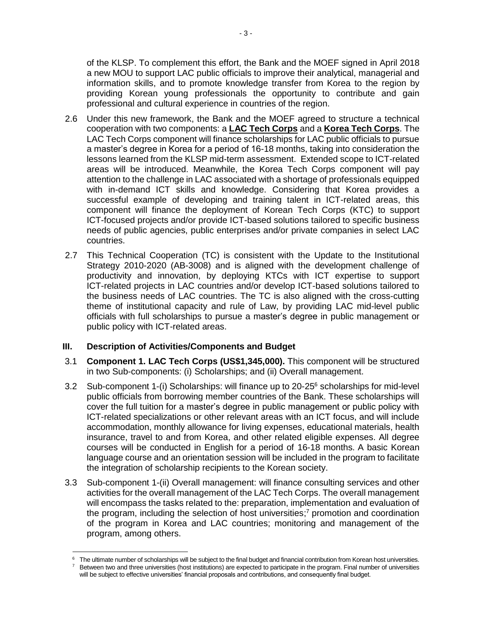of the KLSP. To complement this effort, the Bank and the MOEF signed in April 2018 a new MOU to support LAC public officials to improve their analytical, managerial and information skills, and to promote knowledge transfer from Korea to the region by providing Korean young professionals the opportunity to contribute and gain professional and cultural experience in countries of the region.

- 2.6 Under this new framework, the Bank and the MOEF agreed to structure a technical cooperation with two components: a **LAC Tech Corps** and a **Korea Tech Corps**. The LAC Tech Corps component will finance scholarships for LAC public officials to pursue a master's degree in Korea for a period of 16-18 months, taking into consideration the lessons learned from the KLSP mid-term assessment. Extended scope to ICT-related areas will be introduced. Meanwhile, the Korea Tech Corps component will pay attention to the challenge in LAC associated with a shortage of professionals equipped with in-demand ICT skills and knowledge. Considering that Korea provides a successful example of developing and training talent in ICT-related areas, this component will finance the deployment of Korean Tech Corps (KTC) to support ICT-focused projects and/or provide ICT-based solutions tailored to specific business needs of public agencies, public enterprises and/or private companies in select LAC countries.
- 2.7 This Technical Cooperation (TC) is consistent with the Update to the Institutional Strategy 2010-2020 (AB-3008) and is aligned with the development challenge of productivity and innovation, by deploying KTCs with ICT expertise to support ICT-related projects in LAC countries and/or develop ICT-based solutions tailored to the business needs of LAC countries. The TC is also aligned with the cross-cutting theme of institutional capacity and rule of Law, by providing LAC mid-level public officials with full scholarships to pursue a master's degree in public management or public policy with ICT-related areas.

## **III. Description of Activities/Components and Budget**

- 3.1 **Component 1. LAC Tech Corps (US\$1,345,000).** This component will be structured in two Sub-components: (i) Scholarships; and (ii) Overall management.
- 3.2 Sub-component 1-(i) Scholarships: will finance up to 20-25<sup>6</sup> scholarships for mid-level public officials from borrowing member countries of the Bank. These scholarships will cover the full tuition for a master's degree in public management or public policy with ICT-related specializations or other relevant areas with an ICT focus, and will include accommodation, monthly allowance for living expenses, educational materials, health insurance, travel to and from Korea, and other related eligible expenses. All degree courses will be conducted in English for a period of 16-18 months. A basic Korean language course and an orientation session will be included in the program to facilitate the integration of scholarship recipients to the Korean society.
- 3.3 Sub-component 1-(ii) Overall management: will finance consulting services and other activities for the overall management of the LAC Tech Corps. The overall management will encompass the tasks related to the: preparation, implementation and evaluation of the program, including the selection of host universities;<sup>7</sup> promotion and coordination of the program in Korea and LAC countries; monitoring and management of the program, among others.

 $\overline{a}$ <sup>6</sup> The ultimate number of scholarships will be subject to the final budget and financial contribution from Korean host universities.

<sup>&</sup>lt;sup>7</sup> Between two and three universities (host institutions) are expected to participate in the program. Final number of universities will be subject to effective universities' financial proposals and contributions, and consequently final budget.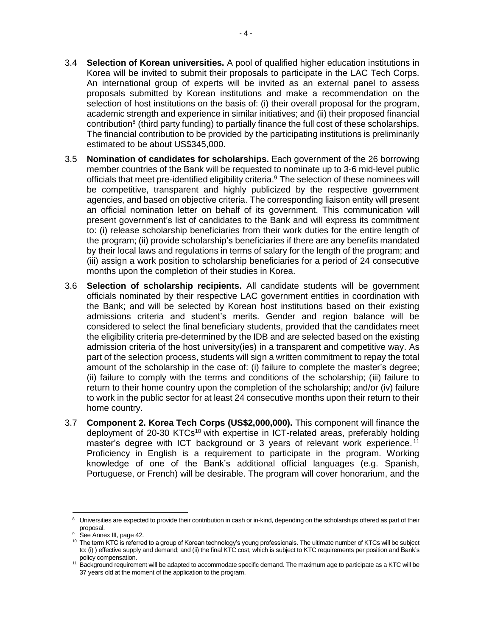- 3.4 **Selection of Korean universities.** A pool of qualified higher education institutions in Korea will be invited to submit their proposals to participate in the LAC Tech Corps. An international group of experts will be invited as an external panel to assess proposals submitted by Korean institutions and make a recommendation on the selection of host institutions on the basis of: (i) their overall proposal for the program, academic strength and experience in similar initiatives; and (ii) their proposed financial contribution<sup>8</sup> (third party funding) to partially finance the full cost of these scholarships. The financial contribution to be provided by the participating institutions is preliminarily estimated to be about US\$345,000.
- 3.5 **Nomination of candidates for scholarships.** Each government of the 26 borrowing member countries of the Bank will be requested to nominate up to 3-6 mid-level public officials that meet pre-identified eligibility criteria.<sup>9</sup> The selection of these nominees will be competitive, transparent and highly publicized by the respective government agencies, and based on objective criteria. The corresponding liaison entity will present an official nomination letter on behalf of its government. This communication will present government's list of candidates to the Bank and will express its commitment to: (i) release scholarship beneficiaries from their work duties for the entire length of the program; (ii) provide scholarship's beneficiaries if there are any benefits mandated by their local laws and regulations in terms of salary for the length of the program; and (iii) assign a work position to scholarship beneficiaries for a period of 24 consecutive months upon the completion of their studies in Korea.
- 3.6 **Selection of scholarship recipients.** All candidate students will be government officials nominated by their respective LAC government entities in coordination with the Bank; and will be selected by Korean host institutions based on their existing admissions criteria and student's merits. Gender and region balance will be considered to select the final beneficiary students, provided that the candidates meet the eligibility criteria pre-determined by the IDB and are selected based on the existing admission criteria of the host university(ies) in a transparent and competitive way. As part of the selection process, students will sign a written commitment to repay the total amount of the scholarship in the case of: (i) failure to complete the master's degree; (ii) failure to comply with the terms and conditions of the scholarship; (iii) failure to return to their home country upon the completion of the scholarship; and/or (iv) failure to work in the public sector for at least 24 consecutive months upon their return to their home country.
- 3.7 **Component 2. Korea Tech Corps (US\$2,000,000).** This component will finance the deployment of 20-30 KTCs<sup>10</sup> with expertise in ICT-related areas, preferably holding master's degree with ICT background or 3 years of relevant work experience.<sup>11</sup> Proficiency in English is a requirement to participate in the program. Working knowledge of one of the Bank's additional official languages (e.g. Spanish, Portuguese, or French) will be desirable. The program will cover honorarium, and the

 $\overline{\phantom{a}}$ 

 $8$  Universities are expected to provide their contribution in cash or in-kind, depending on the scholarships offered as part of their proposal.

<sup>&</sup>lt;sup>9</sup> See Annex III, page 42.

<sup>&</sup>lt;sup>10</sup> The term KTC is referred to a group of Korean technology's young professionals. The ultimate number of KTCs will be subject to: (i) ) effective supply and demand; and (ii) the final KTC cost, which is subject to KTC requirements per position and Bank's policy compensation.

<sup>&</sup>lt;sup>11</sup> Background requirement will be adapted to accommodate specific demand. The maximum age to participate as a KTC will be 37 years old at the moment of the application to the program.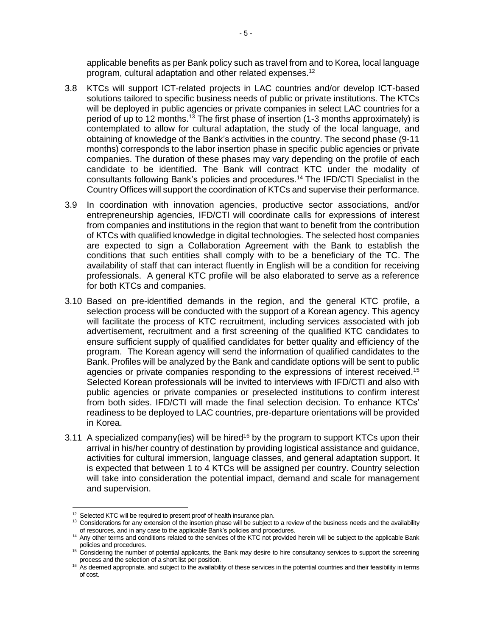applicable benefits as per Bank policy such as travel from and to Korea, local language program, cultural adaptation and other related expenses.<sup>12</sup>

- 3.8 KTCs will support ICT-related projects in LAC countries and/or develop ICT-based solutions tailored to specific business needs of public or private institutions. The KTCs will be deployed in public agencies or private companies in select LAC countries for a period of up to 12 months.<sup>13</sup> The first phase of insertion (1-3 months approximately) is contemplated to allow for cultural adaptation, the study of the local language, and obtaining of knowledge of the Bank's activities in the country. The second phase (9-11 months) corresponds to the labor insertion phase in specific public agencies or private companies. The duration of these phases may vary depending on the profile of each candidate to be identified. The Bank will contract KTC under the modality of consultants following Bank's policies and procedures. <sup>14</sup> The IFD/CTI Specialist in the Country Offices will support the coordination of KTCs and supervise their performance.
- 3.9 In coordination with innovation agencies, productive sector associations, and/or entrepreneurship agencies, IFD/CTI will coordinate calls for expressions of interest from companies and institutions in the region that want to benefit from the contribution of KTCs with qualified knowledge in digital technologies. The selected host companies are expected to sign a Collaboration Agreement with the Bank to establish the conditions that such entities shall comply with to be a beneficiary of the TC. The availability of staff that can interact fluently in English will be a condition for receiving professionals. A general KTC profile will be also elaborated to serve as a reference for both KTCs and companies.
- 3.10 Based on pre-identified demands in the region, and the general KTC profile, a selection process will be conducted with the support of a Korean agency. This agency will facilitate the process of KTC recruitment, including services associated with job advertisement, recruitment and a first screening of the qualified KTC candidates to ensure sufficient supply of qualified candidates for better quality and efficiency of the program. The Korean agency will send the information of qualified candidates to the Bank. Profiles will be analyzed by the Bank and candidate options will be sent to public agencies or private companies responding to the expressions of interest received.<sup>15</sup> Selected Korean professionals will be invited to interviews with IFD/CTI and also with public agencies or private companies or preselected institutions to confirm interest from both sides. IFD/CTI will made the final selection decision. To enhance KTCs' readiness to be deployed to LAC countries, pre-departure orientations will be provided in Korea.
- 3.11 A specialized company(ies) will be hired<sup>16</sup> by the program to support KTCs upon their arrival in his/her country of destination by providing logistical assistance and guidance, activities for cultural immersion, language classes, and general adaptation support. It is expected that between 1 to 4 KTCs will be assigned per country. Country selection will take into consideration the potential impact, demand and scale for management and supervision.

 $\overline{\phantom{a}}$ 

<sup>&</sup>lt;sup>12</sup> Selected KTC will be required to present proof of health insurance plan.

<sup>&</sup>lt;sup>13</sup> Considerations for any extension of the insertion phase will be subject to a review of the business needs and the availability of resources, and in any case to the applicable Bank's policies and procedures.

<sup>&</sup>lt;sup>14</sup> Any other terms and conditions related to the services of the KTC not provided herein will be subject to the applicable Bank policies and procedures.

<sup>&</sup>lt;sup>15</sup> Considering the number of potential applicants, the Bank may desire to hire consultancy services to support the screening process and the selection of a short list per position.

<sup>&</sup>lt;sup>16</sup> As deemed appropriate, and subject to the availability of these services in the potential countries and their feasibility in terms of cost.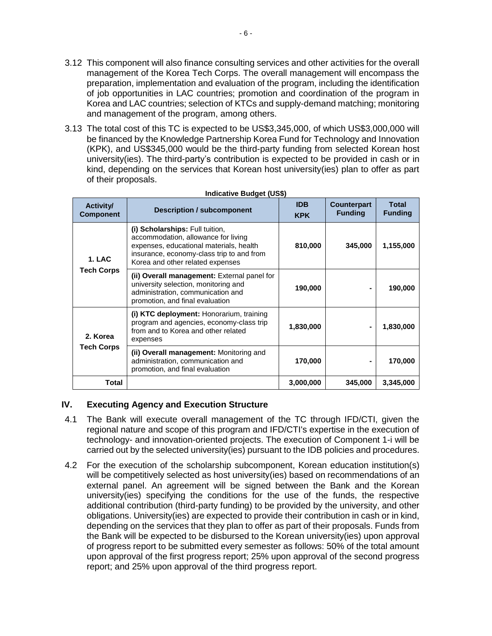- 3.12 This component will also finance consulting services and other activities for the overall management of the Korea Tech Corps. The overall management will encompass the preparation, implementation and evaluation of the program, including the identification of job opportunities in LAC countries; promotion and coordination of the program in Korea and LAC countries; selection of KTCs and supply-demand matching; monitoring and management of the program, among others.
- 3.13 The total cost of this TC is expected to be US\$3,345,000, of which US\$3,000,000 will be financed by the Knowledge Partnership Korea Fund for Technology and Innovation (KPK), and US\$345,000 would be the third-party funding from selected Korean host university(ies). The third-party's contribution is expected to be provided in cash or in kind, depending on the services that Korean host university(ies) plan to offer as part of their proposals.

| <b>Activity/</b>                          |                                                                                                                                                                                                    | <b>IDB</b> | <b>Counterpart</b> | <b>Total</b>   |
|-------------------------------------------|----------------------------------------------------------------------------------------------------------------------------------------------------------------------------------------------------|------------|--------------------|----------------|
| <b>Component</b>                          | <b>Description / subcomponent</b>                                                                                                                                                                  | <b>KPK</b> | <b>Funding</b>     | <b>Funding</b> |
| 1. LAC<br><b>Tech Corps</b>               | (i) Scholarships: Full tuition,<br>accommodation, allowance for living<br>expenses, educational materials, health<br>insurance, economy-class trip to and from<br>Korea and other related expenses | 810,000    | 345,000            | 1,155,000      |
|                                           | (ii) Overall management: External panel for<br>university selection, monitoring and<br>administration, communication and<br>promotion, and final evaluation                                        | 190,000    |                    | 190,000        |
| 2. Korea<br>expenses<br><b>Tech Corps</b> | (i) KTC deployment: Honorarium, training<br>program and agencies, economy-class trip<br>from and to Korea and other related                                                                        | 1,830,000  |                    | 1,830,000      |
|                                           | (ii) Overall management: Monitoring and<br>administration, communication and<br>promotion, and final evaluation                                                                                    | 170,000    |                    | 170,000        |
| Total                                     |                                                                                                                                                                                                    | 3,000,000  | 345,000            | 3,345,000      |

#### **Indicative Budget (US\$)**

## **IV. Executing Agency and Execution Structure**

- 4.1 The Bank will execute overall management of the TC through IFD/CTI, given the regional nature and scope of this program and IFD/CTI's expertise in the execution of technology- and innovation-oriented projects. The execution of Component 1-i will be carried out by the selected university(ies) pursuant to the IDB policies and procedures.
- 4.2 For the execution of the scholarship subcomponent, Korean education institution(s) will be competitively selected as host university(ies) based on recommendations of an external panel. An agreement will be signed between the Bank and the Korean university(ies) specifying the conditions for the use of the funds, the respective additional contribution (third-party funding) to be provided by the university, and other obligations. University(ies) are expected to provide their contribution in cash or in kind, depending on the services that they plan to offer as part of their proposals. Funds from the Bank will be expected to be disbursed to the Korean university(ies) upon approval of progress report to be submitted every semester as follows: 50% of the total amount upon approval of the first progress report; 25% upon approval of the second progress report; and 25% upon approval of the third progress report.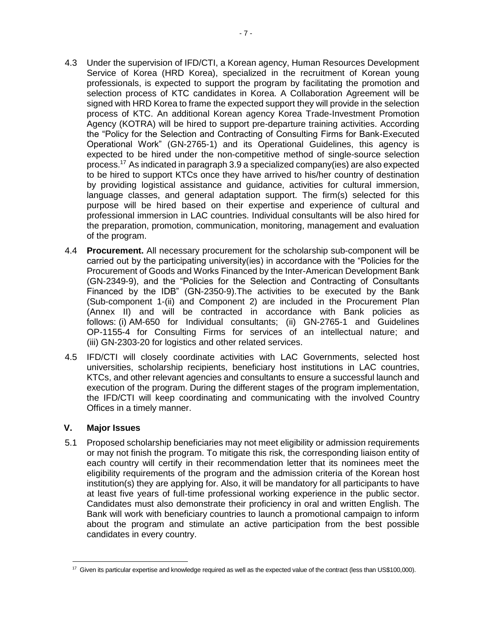- 4.3 Under the supervision of IFD/CTI, a Korean agency, Human Resources Development Service of Korea (HRD Korea), specialized in the recruitment of Korean young professionals, is expected to support the program by facilitating the promotion and selection process of KTC candidates in Korea. A Collaboration Agreement will be signed with HRD Korea to frame the expected support they will provide in the selection process of KTC. An additional Korean agency Korea Trade-Investment Promotion Agency (KOTRA) will be hired to support pre-departure training activities. According the "Policy for the Selection and Contracting of Consulting Firms for Bank-Executed Operational Work" (GN-2765-1) and its Operational Guidelines, this agency is expected to be hired under the non-competitive method of single-source selection process. <sup>17</sup> As indicated in paragraph 3.9 a specialized company(ies) are also expected to be hired to support KTCs once they have arrived to his/her country of destination by providing logistical assistance and guidance, activities for cultural immersion, language classes, and general adaptation support. The firm(s) selected for this purpose will be hired based on their expertise and experience of cultural and professional immersion in LAC countries. Individual consultants will be also hired for the preparation, promotion, communication, monitoring, management and evaluation of the program.
- 4.4 **Procurement.** All necessary procurement for the scholarship sub-component will be carried out by the participating university(ies) in accordance with the "Policies for the Procurement of Goods and Works Financed by the Inter-American Development Bank (GN-2349-9), and the "Policies for the Selection and Contracting of Consultants Financed by the IDB" (GN-2350-9).The activities to be executed by the Bank (Sub-component 1-(ii) and Component 2) are included in the Procurement Plan (Annex II) and will be contracted in accordance with Bank policies as follows: (i) AM-650 for Individual consultants; (ii) GN-2765-1 and Guidelines OP-1155-4 for Consulting Firms for services of an intellectual nature; and (iii) GN-2303-20 for logistics and other related services.
- 4.5 IFD/CTI will closely coordinate activities with LAC Governments, selected host universities, scholarship recipients, beneficiary host institutions in LAC countries, KTCs, and other relevant agencies and consultants to ensure a successful launch and execution of the program. During the different stages of the program implementation, the IFD/CTI will keep coordinating and communicating with the involved Country Offices in a timely manner.

#### **V. Major Issues**

5.1 Proposed scholarship beneficiaries may not meet eligibility or admission requirements or may not finish the program. To mitigate this risk, the corresponding liaison entity of each country will certify in their recommendation letter that its nominees meet the eligibility requirements of the program and the admission criteria of the Korean host institution(s) they are applying for. Also, it will be mandatory for all participants to have at least five years of full-time professional working experience in the public sector. Candidates must also demonstrate their proficiency in oral and written English. The Bank will work with beneficiary countries to launch a promotional campaign to inform about the program and stimulate an active participation from the best possible candidates in every country.

 $\overline{a}$ <sup>17</sup> Given its particular expertise and knowledge required as well as the expected value of the contract (less than US\$100,000).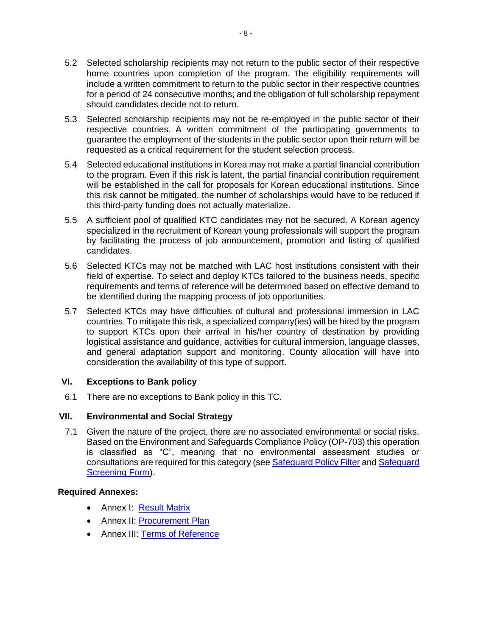- 5.2 Selected scholarship recipients may not return to the public sector of their respective home countries upon completion of the program. The eligibility requirements will include a written commitment to return to the public sector in their respective countries for a period of 24 consecutive months; and the obligation of full scholarship repayment should candidates decide not to return.
- 5.3 Selected scholarship recipients may not be re-employed in the public sector of their respective countries. A written commitment of the participating governments to guarantee the employment of the students in the public sector upon their return will be requested as a critical requirement for the student selection process.
- 5.4 Selected educational institutions in Korea may not make a partial financial contribution to the program. Even if this risk is latent, the partial financial contribution requirement will be established in the call for proposals for Korean educational institutions. Since this risk cannot be mitigated, the number of scholarships would have to be reduced if this third-party funding does not actually materialize.
- 5.5 A sufficient pool of qualified KTC candidates may not be secured. A Korean agency specialized in the recruitment of Korean young professionals will support the program by facilitating the process of job announcement, promotion and listing of qualified candidates.
- 5.6 Selected KTCs may not be matched with LAC host institutions consistent with their field of expertise. To select and deploy KTCs tailored to the business needs, specific requirements and terms of reference will be determined based on effective demand to be identified during the mapping process of job opportunities.
- 5.7 Selected KTCs may have difficulties of cultural and professional immersion in LAC countries. To mitigate this risk, a specialized company(ies) will be hired by the program to support KTCs upon their arrival in his/her country of destination by providing logistical assistance and guidance, activities for cultural immersion, language classes, and general adaptation support and monitoring. County allocation will have into consideration the availability of this type of support.

## **VI. Exceptions to Bank policy**

6.1 There are no exceptions to Bank policy in this TC.

## **VII. Environmental and Social Strategy**

7.1 Given the nature of the project, there are no associated environmental or social risks. Based on the Environment and Safeguards Compliance Policy (OP-703) this operation is classified as "C", meaning that no environmental assessment studies or consultations are required for this category (see [Safeguard Policy Filter](https://idbg.sharepoint.com/teams/EZ-RG-TCP/RG-T3174/50%20Environmental%20and%20Social/RG-T3174_SPF_20181009_1625.pdf) and Safeguard [Screening Form\)](https://idbg.sharepoint.com/teams/EZ-RG-TCP/RG-T3174/50%20Environmental%20and%20Social/RG-T3174_SSF_20181009_1625.pdf).

#### **Required Annexes:**

- Annex I: [Result Matrix](https://idbg.sharepoint.com/teams/EZ-RG-TCP/RG-T3174/15%20LifeCycle%20Milestones/Anexo%20I%20-%20Matriz%20de%20Resultados%20-%20RG-T3174%20Post%20QRR.xlsx?d=wdee1f25b9ffd44df8b53626aeb581db7)
- Annex II: [Procurement Plan](https://idbg.sharepoint.com/teams/EZ-RG-TCP/RG-T3174/15%20LifeCycle%20Milestones/Anexo%20II%20RG-T3174%20Procurement%20Plan%20-%20Post%20QRR.xlsx?d=we0f140218dc64dfeb7418b2616d25d03)
- Annex III: [Terms of Reference](https://idbg.sharepoint.com/teams/EZ-RG-TCP/RG-T3174/15%20LifeCycle%20Milestones/Anexo%20III%20-%20TDR%20-%20RG-T3174%20-%20Post%20QRR.docx?d=w6d2369b81092487faa7b268c76cf018e)